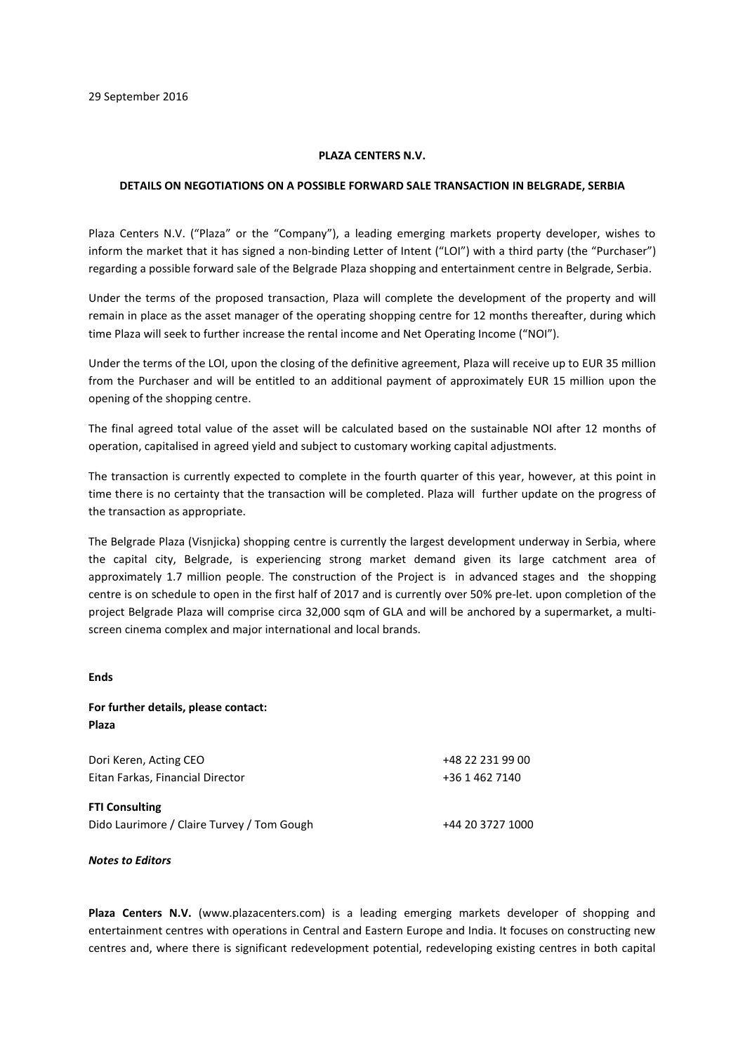## **PLAZA CENTERS N.V.**

## **DETAILS ON NEGOTIATIONS ON A POSSIBLE FORWARD SALE TRANSACTION IN BELGRADE, SERBIA**

Plaza Centers N.V. ("Plaza" or the "Company"), a leading emerging markets property developer, wishes to inform the market that it has signed a non-binding Letter of Intent ("LOI") with a third party (the "Purchaser") regarding a possible forward sale of the Belgrade Plaza shopping and entertainment centre in Belgrade, Serbia.

Under the terms of the proposed transaction, Plaza will complete the development of the property and will remain in place as the asset manager of the operating shopping centre for 12 months thereafter, during which time Plaza will seek to further increase the rental income and Net Operating Income ("NOI").

Under the terms of the LOI, upon the closing of the definitive agreement, Plaza will receive up to EUR 35 million from the Purchaser and will be entitled to an additional payment of approximately EUR 15 million upon the opening of the shopping centre.

The final agreed total value of the asset will be calculated based on the sustainable NOI after 12 months of operation, capitalised in agreed yield and subject to customary working capital adjustments.

The transaction is currently expected to complete in the fourth quarter of this year, however, at this point in time there is no certainty that the transaction will be completed. Plaza will further update on the progress of the transaction as appropriate.

The Belgrade Plaza (Visnjicka) shopping centre is currently the largest development underway in Serbia, where the capital city, Belgrade, is experiencing strong market demand given its large catchment area of approximately 1.7 million people. The construction of the Project is in advanced stages and the shopping centre is on schedule to open in the first half of 2017 and is currently over 50% pre-let. upon completion of the project Belgrade Plaza will comprise circa 32,000 sqm of GLA and will be anchored by a supermarket, a multiscreen cinema complex and major international and local brands.

## **Ends**

## **For further details, please contact: Plaza**

Dori Keren, Acting CEO +48 22 231 99 00 Eitan Farkas, Financial Director +36 1 462 7140 **FTI Consulting**  Dido Laurimore / Claire Turvey / Tom Gough +44 20 3727 1000

*Notes to Editors*

**Plaza Centers N.V.** (www.plazacenters.com) is a leading emerging markets developer of shopping and entertainment centres with operations in Central and Eastern Europe and India. It focuses on constructing new centres and, where there is significant redevelopment potential, redeveloping existing centres in both capital